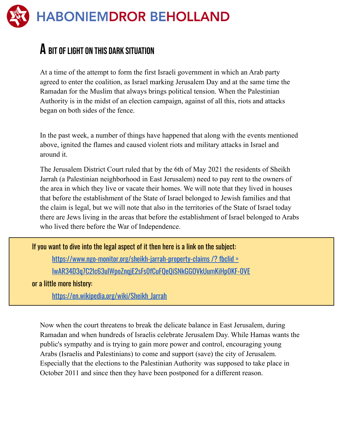## **HABONIEMDROR BEHOLLAND**

## $\bf{A}$  bit of light on this dark situation

At a time of the attempt to form the first Israeli government in which an Arab party agreed to enter the coalition, as Israel marking Jerusalem Day and at the same time the Ramadan for the Muslim that always brings political tension. When the Palestinian Authority is in the midst of an election campaign, against of all this, riots and attacks began on both sides of the fence.

In the past week, a number of things have happened that along with the events mentioned above, ignited the flames and caused violent riots and military attacks in Israel and around it.

The Jerusalem District Court ruled that by the 6th of May 2021 the residents of Sheikh Jarrah (a Palestinian neighborhood in East Jerusalem) need to pay rent to the owners of the area in which they live or vacate their homes. We will note that they lived in houses that before the establishment of the State of Israel belonged to Jewish families and that the claim is legal, but we will note that also in the territories of the State of Israel today there are Jews living in the areas that before the establishment of Israel belonged to Arabs who lived there before the War of Independence.

If you want to dive into the legal aspect of it then here is a link on the subject:

[https://www.ngo-monitor.org/sheikh-jarrah-property-claims](https://www.ngo-monitor.org/sheikh-jarrah-property-claims/?fbclid=IwAR34D3q7C2lc63ulWpoZnqjE2sFs0fCuFQeQiSNkGGOVkUumKiHp0KF-0VE) /? fbclid = [IwAR34D3q7C2lc63ulWpoZnqjE2sFs0fCuFQeQiSNkGGOVkUumKiHp0KF-0VE](https://www.ngo-monitor.org/sheikh-jarrah-property-claims/?fbclid=IwAR34D3q7C2lc63ulWpoZnqjE2sFs0fCuFQeQiSNkGGOVkUumKiHp0KF-0VE)

or a little more history:

[https://en.wikipedia.org/wiki/Sheikh\\_Jarrah](https://en.wikipedia.org/wiki/Sheikh_Jarrah)

Now when the court threatens to break the delicate balance in East Jerusalem, during Ramadan and when hundreds of Israelis celebrate Jerusalem Day. While Hamas wants the public's sympathy and is trying to gain more power and control, encouraging young Arabs (Israelis and Palestinians) to come and support (save) the city of Jerusalem. Especially that the elections to the Palestinian Authority was supposed to take place in October 2011 and since then they have been postponed for a different reason.